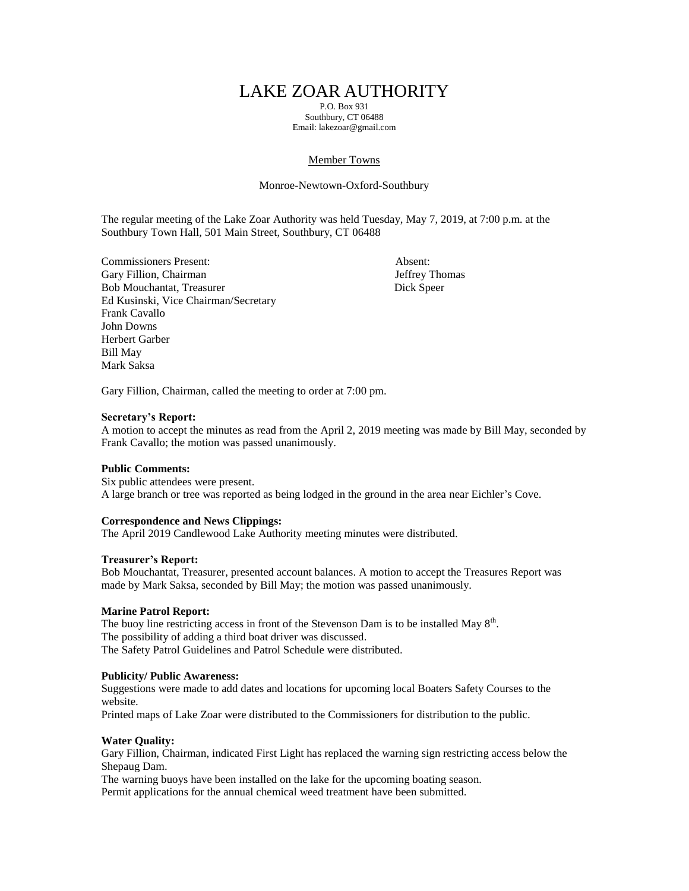# LAKE ZOAR AUTHORITY

P.O. Box 931 Southbury, CT 06488 Email: lakezoar@gmail.com

## Member Towns

## Monroe-Newtown-Oxford-Southbury

The regular meeting of the Lake Zoar Authority was held Tuesday, May 7, 2019, at 7:00 p.m. at the Southbury Town Hall, 501 Main Street, Southbury, CT 06488

Commissioners Present: Absent: Gary Fillion, Chairman Jeffrey Thomas Bob Mouchantat, Treasurer Dick Speer Ed Kusinski, Vice Chairman/Secretary Frank Cavallo John Downs Herbert Garber Bill May Mark Saksa

Gary Fillion, Chairman, called the meeting to order at 7:00 pm.

#### **Secretary's Report:**

A motion to accept the minutes as read from the April 2, 2019 meeting was made by Bill May, seconded by Frank Cavallo; the motion was passed unanimously.

#### **Public Comments:**

Six public attendees were present. A large branch or tree was reported as being lodged in the ground in the area near Eichler's Cove.

## **Correspondence and News Clippings:**

The April 2019 Candlewood Lake Authority meeting minutes were distributed.

#### **Treasurer's Report:**

Bob Mouchantat, Treasurer, presented account balances. A motion to accept the Treasures Report was made by Mark Saksa, seconded by Bill May; the motion was passed unanimously.

#### **Marine Patrol Report:**

The buoy line restricting access in front of the Stevenson Dam is to be installed May  $8<sup>th</sup>$ . The possibility of adding a third boat driver was discussed. The Safety Patrol Guidelines and Patrol Schedule were distributed.

#### **Publicity/ Public Awareness:**

Suggestions were made to add dates and locations for upcoming local Boaters Safety Courses to the website.

Printed maps of Lake Zoar were distributed to the Commissioners for distribution to the public.

#### **Water Quality:**

Gary Fillion, Chairman, indicated First Light has replaced the warning sign restricting access below the Shepaug Dam.

The warning buoys have been installed on the lake for the upcoming boating season. Permit applications for the annual chemical weed treatment have been submitted.